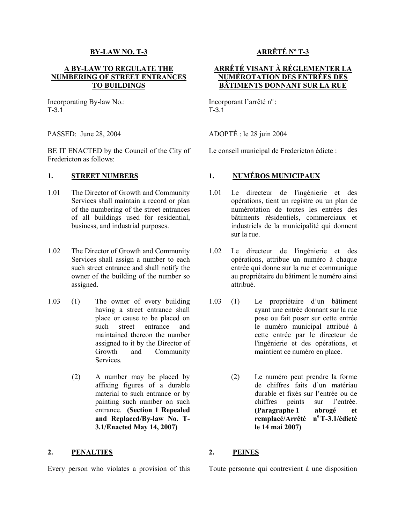### **BY-LAW NO. T-3**

## **A BY-LAW TO REGULATE THE NUMBERING OF STREET ENTRANCES TO BUILDINGS**

Incorporating By-law No.: T-3.1

BE IT ENACTED by the Council of the City of Fredericton as follows:

## **1. STREET NUMBERS**

- 1.01 The Director of Growth and Community Services shall maintain a record or plan of the numbering of the street entrances of all buildings used for residential, business, and industrial purposes.
- 1.02 The Director of Growth and Community Services shall assign a number to each such street entrance and shall notify the owner of the building of the number so assigned.
- 1.03 (1) The owner of every building having a street entrance shall place or cause to be placed on such street entrance and maintained thereon the number assigned to it by the Director of Growth and Community Services.
	- (2) A number may be placed by affixing figures of a durable material to such entrance or by painting such number on such entrance. **(Section 1 Repealed and Replaced/By-law No. T-3.1/Enacted May 14, 2007)**

## **2. PENALTIES 2. PEINES**

# **ARRÊTÉ Nº T-3**

## **ARRÊTÉ VISANT À RÉGLEMENTER LA NUMÉROTATION DES ENTRÉES DES BÂTIMENTS DONNANT SUR LA RUE**

Incorporant l'arrêté n°:  $T-3.1$ 

PASSED: June 28, 2004 ADOPTÉ : le 28 juin 2004

Le conseil municipal de Fredericton édicte :

## **1. NUMÉROS MUNICIPAUX**

- 1.01 Le directeur de l'ingénierie et des opérations, tient un registre ou un plan de numérotation de toutes les entrées des bâtiments résidentiels, commerciaux et industriels de la municipalité qui donnent sur la rue.
- 1.02 Le directeur de l'ingénierie et des opérations, attribue un numéro à chaque entrée qui donne sur la rue et communique au propriétaire du bâtiment le numéro ainsi attribué.
- 1.03 (1) Le propriétaire d'un bâtiment ayant une entrée donnant sur la rue pose ou fait poser sur cette entrée le numéro municipal attribué à cette entrée par le directeur de l'ingénierie et des opérations, et maintient ce numéro en place.
	- (2) Le numéro peut prendre la forme de chiffres faits d'un matériau durable et fixés sur l'entrée ou de chiffres peints sur l'entrée. **(Paragraphe 1 abrogé et remplacé/Arrêté n<sup>o</sup>T-3.1/édicté le 14 mai 2007)**

Every person who violates a provision of this Toute personne qui contrevient à une disposition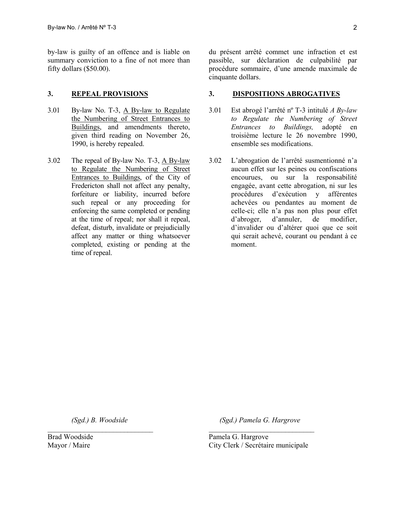by-law is guilty of an offence and is liable on summary conviction to a fine of not more than fifty dollars (\$50.00).

- 3.01 By-law No. T-3, A By-law to Regulate the Numbering of Street Entrances to Buildings, and amendments thereto, given third reading on November 26, 1990, is hereby repealed.
- 3.02 The repeal of By-law No. T-3, A By-law to Regulate the Numbering of Street Entrances to Buildings, of the City of Fredericton shall not affect any penalty, forfeiture or liability, incurred before such repeal or any proceeding for enforcing the same completed or pending at the time of repeal; nor shall it repeal, defeat, disturb, invalidate or prejudicially affect any matter or thing whatsoever completed, existing or pending at the time of repeal.

du présent arrêté commet une infraction et est passible, sur déclaration de culpabilité par procédure sommaire, d'une amende maximale de cinquante dollars.

## **3. REPEAL PROVISIONS 3. DISPOSITIONS ABROGATIVES**

- 3.01 Est abrogé l'arrêté nº T-3 intitulé *A By-law to Regulate the Numbering of Street Entrances to Buildings,* adopté en troisième lecture le 26 novembre 1990, ensemble ses modifications.
- 3.02 L'abrogation de l'arrêté susmentionné n'a aucun effet sur les peines ou confiscations encourues, ou sur la responsabilité engagée, avant cette abrogation, ni sur les procédures d'exécution y afférentes achevées ou pendantes au moment de celle-ci; elle n'a pas non plus pour effet d'abroger, d'annuler, de modifier, d'invalider ou d'altérer quoi que ce soit qui serait achevé, courant ou pendant à ce moment.

 *(Sgd.) B. Woodside*   $\mathcal{L}_\text{max}$  , where  $\mathcal{L}_\text{max}$  is the set of  $\mathcal{L}_\text{max}$ 

Brad Woodside Mayor / Maire

 *(Sgd.) Pamela G. Hargrove*  $\mathcal{L}_\text{max}$  , where  $\mathcal{L}_\text{max}$  is the set of  $\mathcal{L}_\text{max}$ 

Pamela G. Hargrove City Clerk / Secrétaire municipale